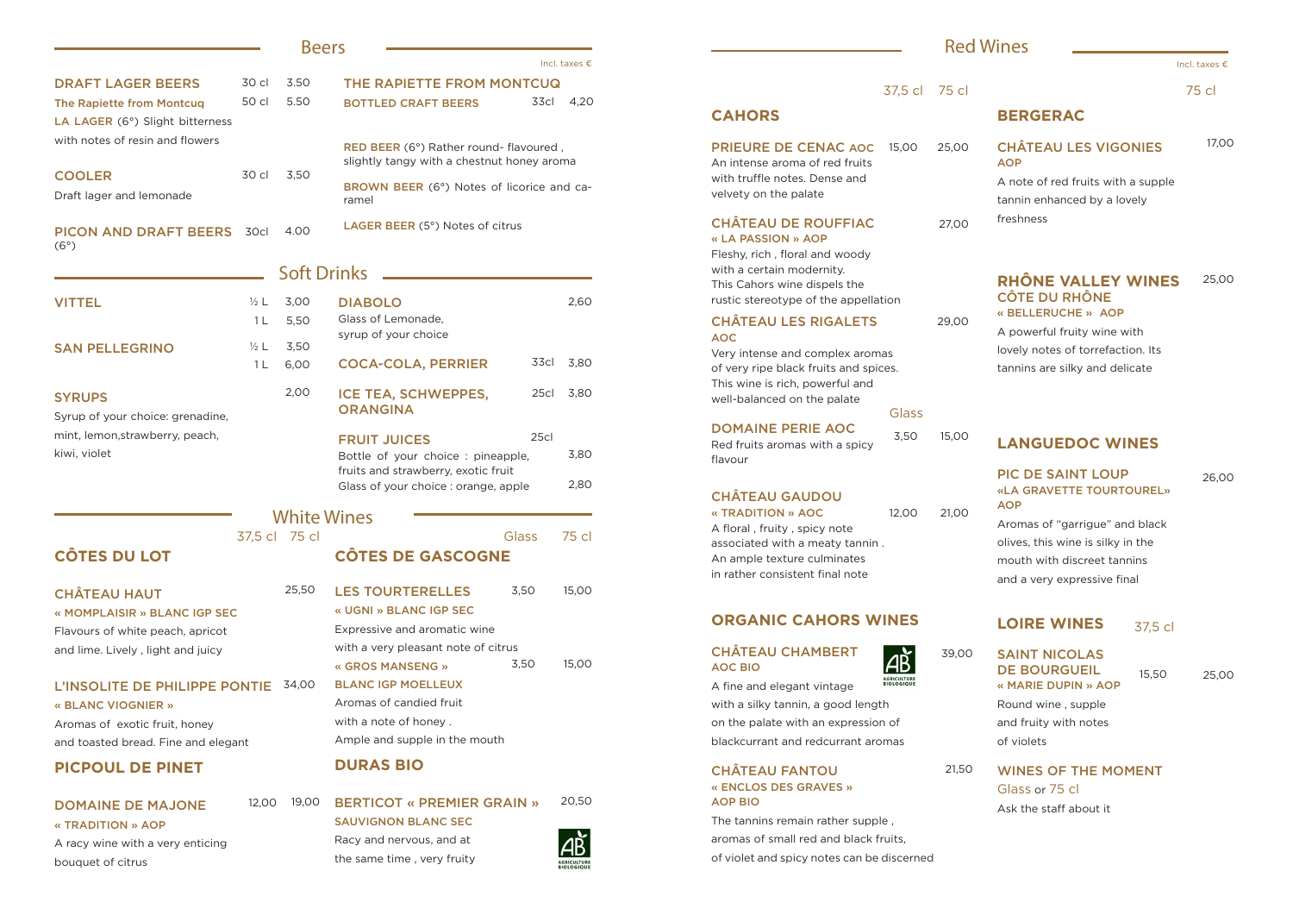RED BEER (6°) Rather round- flavoured, slightly tangy with a chestnut honey aroma

BROWN BEER (6°) Notes of licorice and caramel

LAGER BEER (5°) Notes of citrus

#### าks

Incl. taxes €

|                                                                                                                              |                        |                            | <b>Beers</b>                 |
|------------------------------------------------------------------------------------------------------------------------------|------------------------|----------------------------|------------------------------|
| <b>DRAFT LAGER BEERS</b><br><b>The Rapiette from Montcuq</b><br>LA LAGER (6°) Slight bitterness                              | 30 cl<br>50 cl         | 3.50<br>5.50               | ٦<br>E                       |
| with notes of resin and flowers<br><b>COOLER</b><br>Draft lager and lemonade                                                 | 30 cl                  | 3,50                       | F<br>S<br>E                  |
| PICON AND DRAFT BEERS 30cl<br>$(6^{\circ})$                                                                                  |                        | 4.00                       | r<br>L                       |
|                                                                                                                              |                        | <b>Soft Drin</b>           |                              |
| <b>VITTEL</b>                                                                                                                | $\frac{1}{2}L$<br>1 L  | 3,00<br>5,50               | D<br>G                       |
| <b>SAN PELLEGRINO</b>                                                                                                        | $\frac{1}{2}$ L<br>1 L | 3,50<br>6,00               | S)<br>$\mathsf C$            |
| <b>SYRUPS</b><br>Syrup of your choice: grenadine,                                                                            |                        | 2,00                       | I<br>O                       |
| mint, lemon, strawberry, peach,<br>kiwi, violet                                                                              |                        |                            | F<br>В<br>fr<br>G            |
|                                                                                                                              |                        | White Wii<br>37,5 cl 75 cl |                              |
| <b>CÔTES DU LOT</b>                                                                                                          |                        |                            | C)                           |
| <b>CHÂTEAU HAUT</b><br>« MOMPLAISIR » BLANC IGP SEC<br>Flavours of white peach, apricot<br>and lime. Lively, light and juicy |                        | 25,50                      | LE<br>« l<br>Ex<br>wi<br>« ( |
| L'INSOLITE DE PHILIPPE PONTIE<br>« BLANC VIOGNIER »                                                                          |                        | 34,00                      | BL<br>Ar                     |

Aromas of exotic fruit, honey and toasted bread. Fine and elegant

## **CÔTES DE GASCOGNE**

| <b>LES TOURTERELLES</b>             | 3,50 | 15,00 |
|-------------------------------------|------|-------|
| « UGNI » BLANC IGP SEC              |      |       |
| Expressive and aromatic wine        |      |       |
| with a very pleasant note of citrus |      |       |
| « GROS MANSENG »                    | 3,50 | 15.00 |
| <b>BI ANC IGP MOFI I FUX</b>        |      |       |
| Aromas of candied fruit             |      |       |
| with a note of honey.               |      |       |
| Ample and supple in the mouth       |      |       |
|                                     |      |       |

Glass 75 cl

### **PICPOUL DE PINET**

| <b>DOMAINE DE MAJONE</b>         | 12,00 |
|----------------------------------|-------|
| « TRADITION » AOP                |       |
| A racy wine with a very enticing |       |
| bouquet of citrus                |       |

#### **DURAS BIO**

#### 12,00 19,00 BERTICOT « PREMIER GRAIN » SAUVIGNON BLANC SEC 20,50

Racy and nervous, and at the same time , very fruity

Incl. taxes €

#### **CAHORS**

| THE RAPIETTE FROM MONTCUQ  |           |
|----------------------------|-----------|
| <b>BOTTLED CRAFT BEERS</b> | 33cl 4.20 |
|                            |           |

| <b>DIABOLO</b><br>Glass of Lemonade.<br>syrup of your choice |      | 2,60 |
|--------------------------------------------------------------|------|------|
| <b>COCA-COLA, PERRIER</b>                                    | 33cl | 3.80 |
| <b>ICE TEA, SCHWEPPES,</b><br><b>ORANGINA</b>                | 25cl | 3,80 |
| <b>FRUIT JUICES</b><br>Bottle of your choice: pineapple,     | 25cl | 3.80 |
| fruits and strawberry, exotic fruit                          |      |      |
| Glass of your choice : orange, apple                         |      | 2.8C |

### nes

| <b>PRIEURE DE CENAC AOC</b><br>An intense aroma of red fruits<br>with truffle notes. Dense and<br>velvety on the palate                                                                 | 15,00 | 25.00 |
|-----------------------------------------------------------------------------------------------------------------------------------------------------------------------------------------|-------|-------|
| <b>CHÂTEAU DE ROUFFIAC</b><br>« LA PASSION » AOP<br>Fleshy, rich, floral and woody<br>with a certain modernity.<br>This Cahors wine dispels the<br>rustic stereotype of the appellation |       | 27.00 |
| <b>CHÂTEAU LES RIGALETS</b><br><b>AOC</b><br>Very intense and complex aromas<br>of very ripe black fruits and spices.<br>This wine is rich, powerful and<br>well-balanced on the palate | Glass | 29.00 |
| <b>DOMAINE PERIE AOC</b><br>Red fruits aromas with a spicy<br>flavour                                                                                                                   | 3,50  | 15.00 |

#### CHÂTEAU GAUDOU

| « TRADITION » AOC               | 12.00 |
|---------------------------------|-------|
| A floral, fruity, spicy note    |       |
| associated with a meaty tannin. |       |
| An ample texture culminates     |       |
| in rather consistent final note |       |

21,00



#### 37,5 cl 75 cl

### **BERGERAC**

A note of red fruits with a supple tannin enhanced by a lovely freshness

A powerful fruity wine with lovely notes of torrefaction. Its tannins are silky and delicate

#### 37,5 cl **LOIRE WINES**

## **LANGUEDOC WINES**

#### PIC DE SAINT LOUP «LA GRAVETTE TOURTOUREL» AOP

#### CHÂTEAU LES VIGONIES AOP 17,00

#### **RHÔNE VALLEY WINES** CÔTE DU RHÔNE « BELLERUCHE » AOP 25,00

Aromas of "garrigue" and black olives, this wine is silky in the mouth with discreet tannins and a very expressive final

### WINES OF THE MOMENT Glass or 75 cl Ask the staff about it

26,00

#### 75 cl

#### **ORGANIC CAHORS WINES**

CHÂTEAU CHAMBERT AOC BIO

SAINT NICOLAS DE BOURGUEIL « MARIE DUPIN » AOP Round wine , supple and fruity with notes of violets 25,00 15,50

A fine and elegant vintage with a silky tannin, a good length on the palate with an expression of blackcurrant and redcurrant aromas

# CHÂTEAU FANTOU

« ENCLOS DES GRAVES » AOP BIO

The tannins remain rather supple ,

aromas of small red and black fruits,

of violet and spicy notes can be discerned



**AŘ**